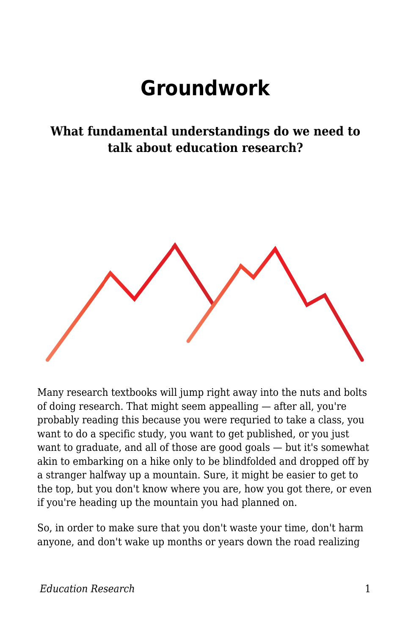## **Groundwork**

**What fundamental understandings do we need to talk about education research?**

Many research textbooks will jump right away into the nuts and bolts of doing research. That might seem appealling — after all, you're probably reading this because you were requried to take a class, you want to do a specific study, you want to get published, or you just want to graduate, and all of those are good goals — but it's somewhat akin to embarking on a hike only to be blindfolded and dropped off by a stranger halfway up a mountain. Sure, it might be easier to get to the top, but you don't know where you are, how you got there, or even if you're heading up the mountain you had planned on.

So, in order to make sure that you don't waste your time, don't harm anyone, and don't wake up months or years down the road realizing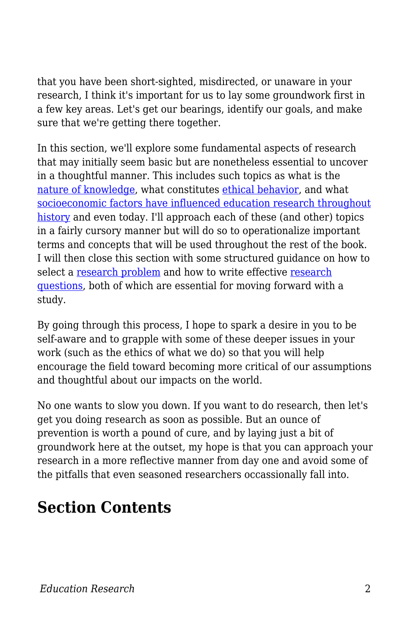that you have been short-sighted, misdirected, or unaware in your research, I think it's important for us to lay some groundwork first in a few key areas. Let's get our bearings, identify our goals, and make sure that we're getting there together.

In this section, we'll explore some fundamental aspects of research that may initially seem basic but are nonetheless essential to uncover in a thoughtful manner. This includes such topics as what is the [nature of knowledge](https://edtechbooks.org/education_research/knowing), what constitutes [ethical behavior,](https://edtechbooks.org/education_research/ethics) and what [socioeconomic factors have influenced education research throughout](https://edtechbooks.org/education_research/influences) [history](https://edtechbooks.org/education_research/influences) and even today. I'll approach each of these (and other) topics in a fairly cursory manner but will do so to operationalize important terms and concepts that will be used throughout the rest of the book. I will then close this section with some structured guidance on how to select a [research problem](https://edtechbooks.org/education_research/problems) and how to write effective [research](https://edtechbooks.org/education_research/questions) [questions,](https://edtechbooks.org/education_research/questions) both of which are essential for moving forward with a study.

By going through this process, I hope to spark a desire in you to be self-aware and to grapple with some of these deeper issues in your work (such as the ethics of what we do) so that you will help encourage the field toward becoming more critical of our assumptions and thoughtful about our impacts on the world.

No one wants to slow you down. If you want to do research, then let's get you doing research as soon as possible. But an ounce of prevention is worth a pound of cure, and by laying just a bit of groundwork here at the outset, my hope is that you can approach your research in a more reflective manner from day one and avoid some of the pitfalls that even seasoned researchers occassionally fall into.

## **Section Contents**